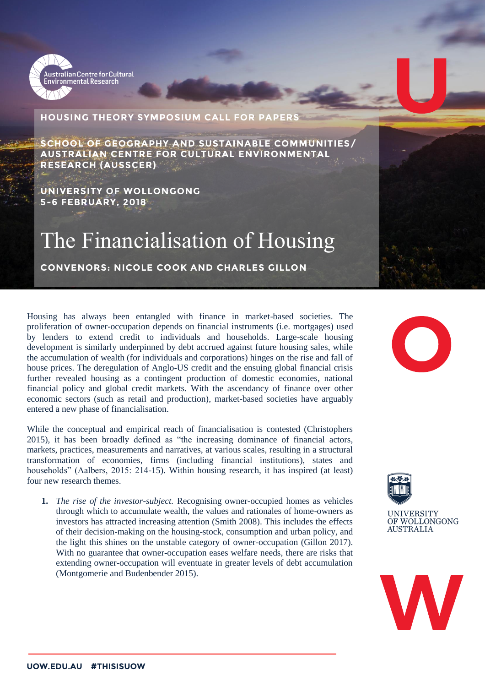

## **HOUSING THEORY SYMPOSIUM CALL FOR PAPERS**

**SCHOOL OF GEOGRAPHY AND SUSTAINABLE COMMUNITIES/ AUSTRALIAN CENTRE FOR CULTURAL ENVIRONMENTAL RESEARCH (AUSSCER)**

**UNIVERSITY OF WOLLONGONG 5-6 FEBRUARY, 2018**

## The Financialisation of Housing

**CONVENORS: NICOLE COOK AND CHARLES GILLON**

Housing has always been entangled with finance in market-based societies. The proliferation of owner-occupation depends on financial instruments (i.e. mortgages) used by lenders to extend credit to individuals and households. Large-scale housing development is similarly underpinned by debt accrued against future housing sales, while the accumulation of wealth (for individuals and corporations) hinges on the rise and fall of house prices. The deregulation of Anglo-US credit and the ensuing global financial crisis further revealed housing as a contingent production of domestic economies, national financial policy and global credit markets. With the ascendancy of finance over other economic sectors (such as retail and production), market-based societies have arguably entered a new phase of financialisation.

While the conceptual and empirical reach of financialisation is contested (Christophers 2015), it has been broadly defined as "the increasing dominance of financial actors, markets, practices, measurements and narratives, at various scales, resulting in a structural transformation of economies, firms (including financial institutions), states and households" (Aalbers, 2015: 214-15). Within housing research, it has inspired (at least) four new research themes.

**1.** *The rise of the investor-subject.* Recognising owner-occupied homes as vehicles through which to accumulate wealth, the values and rationales of home-owners as investors has attracted increasing attention (Smith 2008). This includes the effects of their decision-making on the housing-stock, consumption and urban policy, and the light this shines on the unstable category of owner-occupation (Gillon 2017). With no guarantee that owner-occupation eases welfare needs, there are risks that extending owner-occupation will eventuate in greater levels of debt accumulation (Montgomerie and Budenbender 2015).





**UNIVERSITY** OF WOLLONGONG **AUSTRALIA**